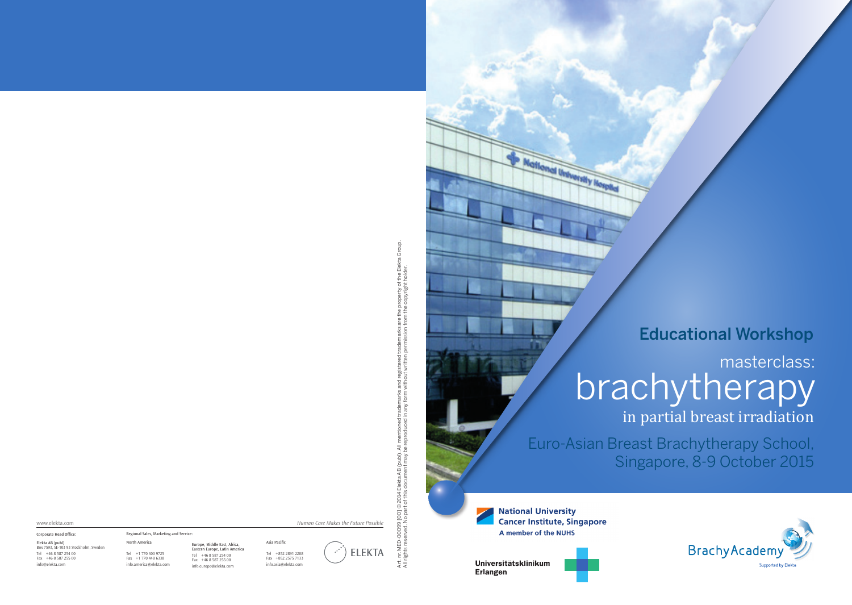## Educational Workshop

# masterclass: **brachytherapy**

in partial breast irradiation

Euro-Asian Breast Brachytherapy School, Singapore, 8-9 October 2015

**National University Cancer Institute, Singapore** A member of the NUHS



onal University Nos



Art. nr. MED-00099 [00] © 2014 Elekta AB (publ). All mentioned trademarks and registered trademarks are the property of the Elekta Group. vED-00099 [00] © 2014 Elekta AB (publ). All mentioned trademarks and registered trademarks are the property of the Elekta Group.<br>s reserved. No part of this document may be reproduced in any form without written permissio All rights reserved. No part of this document may be reproduced in any form without written permission from the copyright holder. Art.nr.l<br>Allright

Elekta AB (publ) Box 7593, SE-103 93 Stockholm, Sweden Corporate Head Office: Asia Pacific www.elekta.com *Human Care Makes the Future Possible* North America Regional Sales, Marketing and Service: Europe, Middle East, Africa, Eastern Europe, Latin America

Tel +852 2891 2208 Fax +852 2575 7133 info.asia@elekta.com



Tel +46 8 587 254 00 Fax +46 8 587 255 00 info@elekta.com

# Tel +1 770 300 9725 Fax +1 770 448 6338

info.america@elekta.com

Tel +46 8 587 254 00 Fax +46 8 587 255 00 info.europe@elekta.com